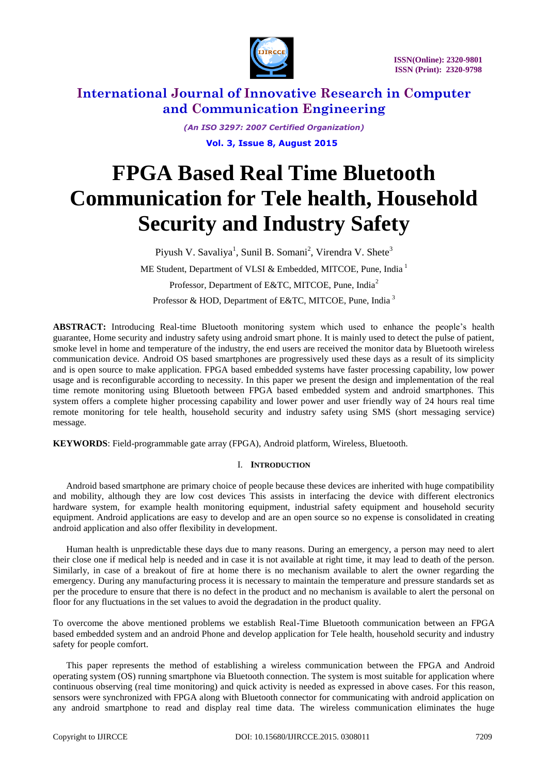

> *(An ISO 3297: 2007 Certified Organization)*  **Vol. 3, Issue 8, August 2015**

# **FPGA Based Real Time Bluetooth Communication for Tele health, Household Security and Industry Safety**

Piyush V. Savaliya<sup>1</sup>, Sunil B. Somani<sup>2</sup>, Virendra V. Shete<sup>3</sup>

ME Student, Department of VLSI & Embedded, MITCOE, Pune, India<sup>1</sup>

Professor, Department of E&TC, MITCOE, Pune, India<sup>2</sup>

Professor & HOD, Department of E&TC, MITCOE, Pune, India<sup>3</sup>

**ABSTRACT:** Introducing Real-time Bluetooth monitoring system which used to enhance the people's health guarantee, Home security and industry safety using android smart phone. It is mainly used to detect the pulse of patient, smoke level in home and temperature of the industry, the end users are received the monitor data by Bluetooth wireless communication device. Android OS based smartphones are progressively used these days as a result of its simplicity and is open source to make application. FPGA based embedded systems have faster processing capability, low power usage and is reconfigurable according to necessity. In this paper we present the design and implementation of the real time remote monitoring using Bluetooth between FPGA based embedded system and android smartphones. This system offers a complete higher processing capability and lower power and user friendly way of 24 hours real time remote monitoring for tele health, household security and industry safety using SMS (short messaging service) message.

**KEYWORDS**: Field-programmable gate array (FPGA), Android platform, Wireless, Bluetooth.

# I. **INTRODUCTION**

Android based smartphone are primary choice of people because these devices are inherited with huge compatibility and mobility, although they are low cost devices This assists in interfacing the device with different electronics hardware system, for example health monitoring equipment, industrial safety equipment and household security equipment. Android applications are easy to develop and are an open source so no expense is consolidated in creating android application and also offer flexibility in development.

Human health is unpredictable these days due to many reasons. During an emergency, a person may need to alert their close one if medical help is needed and in case it is not available at right time, it may lead to death of the person. Similarly, in case of a breakout of fire at home there is no mechanism available to alert the owner regarding the emergency. During any manufacturing process it is necessary to maintain the temperature and pressure standards set as per the procedure to ensure that there is no defect in the product and no mechanism is available to alert the personal on floor for any fluctuations in the set values to avoid the degradation in the product quality.

To overcome the above mentioned problems we establish Real-Time Bluetooth communication between an FPGA based embedded system and an android Phone and develop application for Tele health, household security and industry safety for people comfort.

This paper represents the method of establishing a wireless communication between the FPGA and Android operating system (OS) running smartphone via Bluetooth connection. The system is most suitable for application where continuous observing (real time monitoring) and quick activity is needed as expressed in above cases. For this reason, sensors were synchronized with FPGA along with Bluetooth connector for communicating with android application on any android smartphone to read and display real time data. The wireless communication eliminates the huge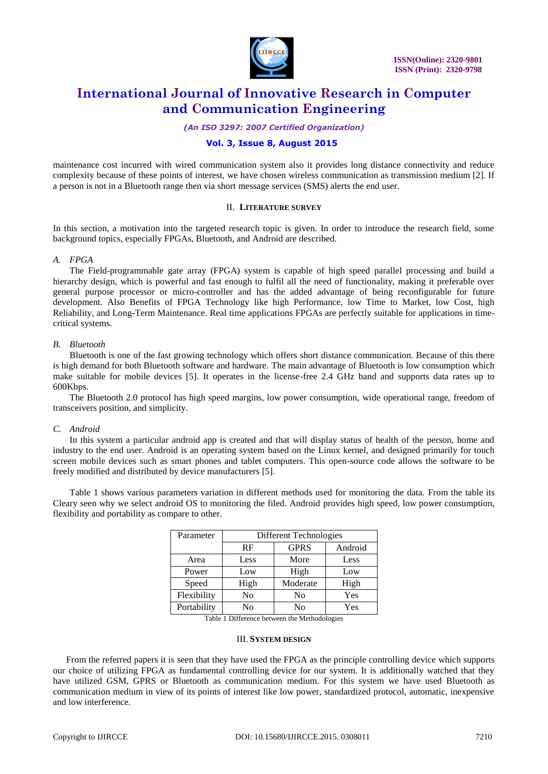

*(An ISO 3297: 2007 Certified Organization)*

### **Vol. 3, Issue 8, August 2015**

maintenance cost incurred with wired communication system also it provides long distance connectivity and reduce complexity because of these points of interest, we have chosen wireless communication as transmission medium [2]. If a person is not in a Bluetooth range then via short message services (SMS) alerts the end user.

### II. **LITERATURE SURVEY**

In this section, a motivation into the targeted research topic is given. In order to introduce the research field, some background topics, especially FPGAs, Bluetooth, and Android are described.

#### *A. FPGA*

The Field-programmable gate array (FPGA) system is capable of high speed parallel processing and build a hierarchy design, which is powerful and fast enough to fulfil all the need of functionality, making it preferable over general purpose processor or micro-controller and has the added advantage of being reconfigurable for future development. Also Benefits of FPGA Technology like high Performance, low Time to Market, low Cost, high Reliability, and Long-Term Maintenance. Real time applications FPGAs are perfectly suitable for applications in timecritical systems.

#### *B. Bluetooth*

Bluetooth is one of the fast growing technology which offers short distance communication. Because of this there is high demand for both Bluetooth software and hardware. The main advantage of Bluetooth is low consumption which make suitable for mobile devices [5]. It operates in the license-free 2.4 GHz band and supports data rates up to 600Kbps.

The Bluetooth 2.0 protocol has high speed margins, low power consumption, wide operational range, freedom of transceivers position, and simplicity.

#### *C. Android*

In this system a particular android app is created and that will display status of health of the person, home and industry to the end user. Android is an operating system based on the Linux kernel, and designed primarily for touch screen mobile devices such as smart phones and tablet computers. This open-source code allows the software to be freely modified and distributed by device manufacturers [5].

Table 1 shows various parameters variation in different methods used for monitoring the data. From the table its Cleary seen why we select android OS to monitoring the filed. Android provides high speed, low power consumption, flexibility and portability as compare to other.

| Parameter   | Different Technologies |                |         |
|-------------|------------------------|----------------|---------|
|             | RF                     | <b>GPRS</b>    | Android |
| Area        | Less                   | More           | Less    |
| Power       | Low                    | High           | Low     |
| Speed       | High                   | Moderate       | High    |
| Flexibility | N <sub>0</sub>         | N <sub>0</sub> | Yes     |
| Portability | No                     | No             | Yes     |

Table 1 Difference between the Methodologies

#### III. **SYSTEM DESIGN**

From the referred papers it is seen that they have used the FPGA as the principle controlling device which supports our choice of utilizing FPGA as fundamental controlling device for our system. It is additionally watched that they have utilized GSM, GPRS or Bluetooth as communication medium. For this system we have used Bluetooth as communication medium in view of its points of interest like low power, standardized protocol, automatic, inexpensive and low interference.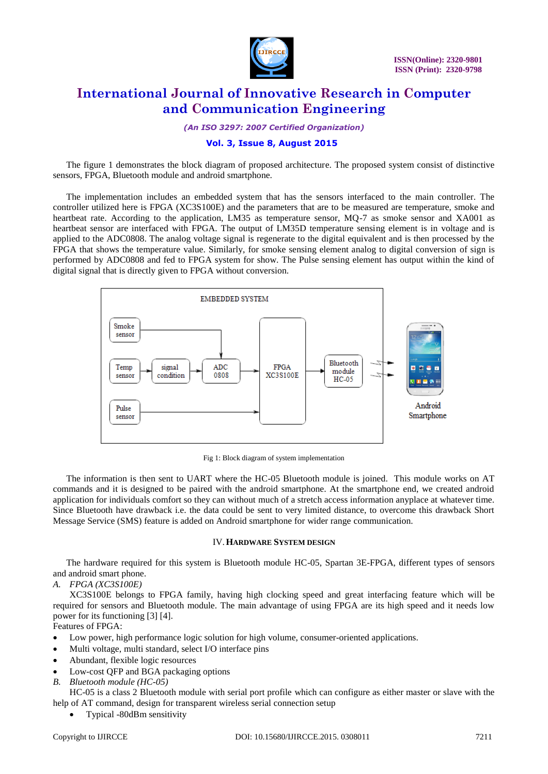

*(An ISO 3297: 2007 Certified Organization)*

### **Vol. 3, Issue 8, August 2015**

The figure 1 demonstrates the block diagram of proposed architecture. The proposed system consist of distinctive sensors, FPGA, Bluetooth module and android smartphone.

The implementation includes an embedded system that has the sensors interfaced to the main controller. The controller utilized here is FPGA (XC3S100E) and the parameters that are to be measured are temperature, smoke and heartbeat rate. According to the application, LM35 as temperature sensor, MQ-7 as smoke sensor and XA001 as heartbeat sensor are interfaced with FPGA. The output of LM35D temperature sensing element is in voltage and is applied to the ADC0808. The analog voltage signal is regenerate to the digital equivalent and is then processed by the FPGA that shows the temperature value. Similarly, for smoke sensing element analog to digital conversion of sign is performed by ADC0808 and fed to FPGA system for show. The Pulse sensing element has output within the kind of digital signal that is directly given to FPGA without conversion.



Fig 1: Block diagram of system implementation

The information is then sent to UART where the HC-05 Bluetooth module is joined. This module works on AT commands and it is designed to be paired with the android smartphone. At the smartphone end, we created android application for individuals comfort so they can without much of a stretch access information anyplace at whatever time. Since Bluetooth have drawback i.e. the data could be sent to very limited distance, to overcome this drawback Short Message Service (SMS) feature is added on Android smartphone for wider range communication.

#### IV.**HARDWARE SYSTEM DESIGN**

The hardware required for this system is Bluetooth module HC-05, Spartan 3E-FPGA, different types of sensors and android smart phone.

*A. FPGA (XC3S100E)*

XC3S100E belongs to FPGA family, having high clocking speed and great interfacing feature which will be required for sensors and Bluetooth module. The main advantage of using FPGA are its high speed and it needs low power for its functioning [3] [4].

Features of FPGA:

- Low power, high performance logic solution for high volume, consumer-oriented applications.
- Multi voltage, multi standard, select I/O interface pins
- Abundant, flexible logic resources
- Low-cost QFP and BGA packaging options
- *B. Bluetooth module (HC-05)*

HC-05 is a class 2 Bluetooth module with serial port profile which can configure as either master or slave with the help of AT command, design for transparent wireless serial connection setup

Typical -80dBm sensitivity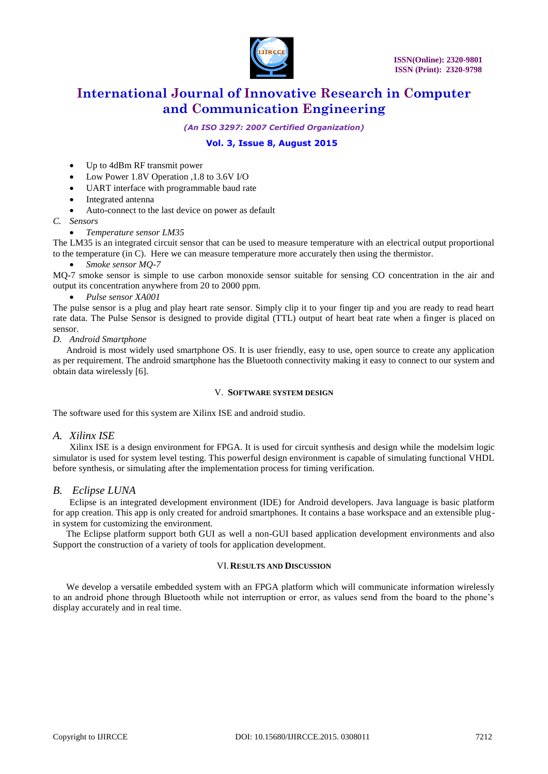

*(An ISO 3297: 2007 Certified Organization)*

# **Vol. 3, Issue 8, August 2015**

- Up to 4dBm RF transmit power
- Low Power 1.8V Operation ,1.8 to 3.6V I/O
- UART interface with programmable baud rate
- Integrated antenna
- Auto-connect to the last device on power as default
- *C. Sensors*
	- *Temperature sensor LM35*

The LM35 is an integrated circuit sensor that can be used to measure temperature with an electrical output proportional to the temperature (in C). Here we can measure temperature more accurately then using the thermistor.

*Smoke sensor MQ-7*

MQ-7 smoke sensor is simple to use carbon monoxide sensor suitable for sensing CO concentration in the air and output its concentration anywhere from 20 to 2000 ppm.

*Pulse sensor XA001*

The pulse sensor is a plug and play heart rate sensor. Simply clip it to your finger tip and you are ready to read heart rate data. The Pulse Sensor is designed to provide digital (TTL) output of heart beat rate when a finger is placed on sensor.

*D. Android Smartphone*

Android is most widely used smartphone OS. It is user friendly, easy to use, open source to create any application as per requirement. The android smartphone has the Bluetooth connectivity making it easy to connect to our system and obtain data wirelessly [6].

#### V. **SOFTWARE SYSTEM DESIGN**

The software used for this system are Xilinx ISE and android studio.

*A. Xilinx ISE*

Xilinx ISE is a design environment for FPGA. It is used for circuit synthesis and design while the modelsim logic simulator is used for system level testing. This powerful design environment is capable of simulating functional VHDL before synthesis, or simulating after the implementation process for timing verification.

### *B. Eclipse LUNA*

Eclipse is an integrated development environment (IDE) for Android developers. Java language is basic platform for app creation. This app is only created for android smartphones. It contains a base workspace and an extensible plugin system for customizing the environment.

The Eclipse platform support both GUI as well a non-GUI based application development environments and also Support the construction of a variety of tools for application development.

#### VI.**RESULTS AND DISCUSSION**

We develop a versatile embedded system with an FPGA platform which will communicate information wirelessly to an android phone through Bluetooth while not interruption or error, as values send from the board to the phone's display accurately and in real time.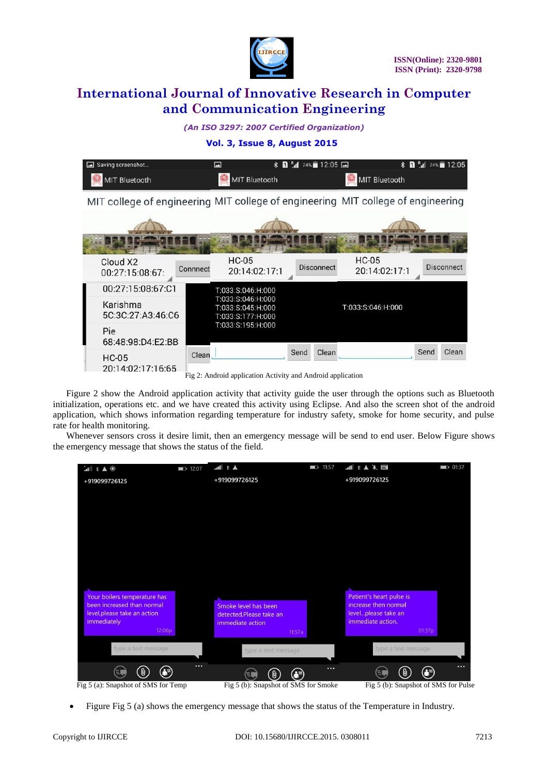

# *(An ISO 3297: 2007 Certified Organization)*

#### **Vol. 3, Issue 8, August 2015**



Fig 2: Android application Activity and Android application

Figure 2 show the Android application activity that activity guide the user through the options such as Bluetooth initialization, operations etc. and we have created this activity using Eclipse. And also the screen shot of the android application, which shows information regarding temperature for industry safety, smoke for home security, and pulse rate for health monitoring.

Whenever sensors cross it desire limit, then an emergency message will be send to end user. Below Figure shows the emergency message that shows the status of the field.



Figure Fig 5 (a) shows the emergency message that shows the status of the Temperature in Industry.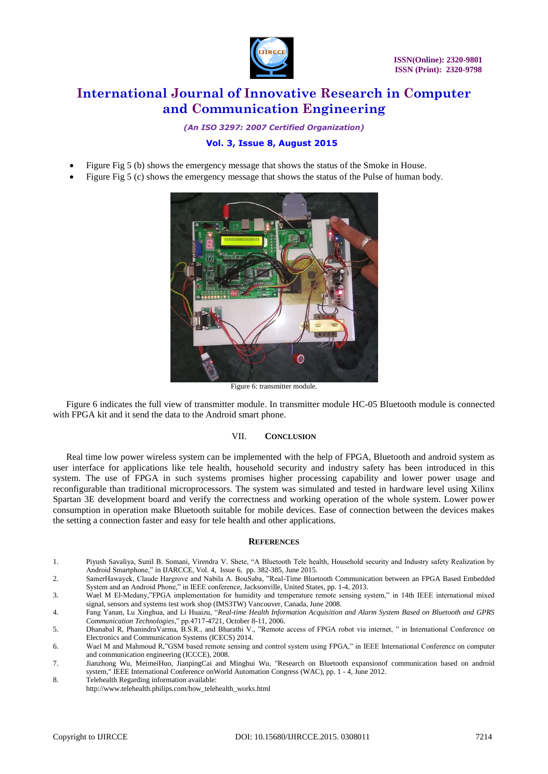

*(An ISO 3297: 2007 Certified Organization)*

# **Vol. 3, Issue 8, August 2015**

- Figure Fig 5 (b) shows the emergency message that shows the status of the Smoke in House.
- Figure Fig 5 (c) shows the emergency message that shows the status of the Pulse of human body.



Figure 6: transmitter module.

Figure 6 indicates the full view of transmitter module. In transmitter module HC-05 Bluetooth module is connected with FPGA kit and it send the data to the Android smart phone.

#### VII. **CONCLUSION**

Real time low power wireless system can be implemented with the help of FPGA, Bluetooth and android system as user interface for applications like tele health, household security and industry safety has been introduced in this system. The use of FPGA in such systems promises higher processing capability and lower power usage and reconfigurable than traditional microprocessors. The system was simulated and tested in hardware level using Xilinx Spartan 3E development board and verify the correctness and working operation of the whole system. Lower power consumption in operation make Bluetooth suitable for mobile devices. Ease of connection between the devices makes the setting a connection faster and easy for tele health and other applications.

#### **REFERENCES**

- 1. Piyush Savaliya, Sunil B. Somani, Virendra V. Shete, "A Bluetooth Tele health, Household security and Industry safety Realization by Android Smartphone," in IJARCCE, Vol. 4, Issue 6, pp. 382-385, June 2015.
- 2. SamerHawayek, Claude Hargrove and Nabila A. BouSaba, "Real-Time Bluetooth Communication between an FPGA Based Embedded System and an Android Phone," in IEEE conference, Jacksonville, United States, pp. 1-4, 2013.

3. Wael M El-Medany,"FPGA implementation for humidity and temperature remote sensing system," in 14th IEEE international mixed signal, sensors and systems test work shop (IMS3TW) Vancouver, Canada, June 2008.

- 4. Fang Yanan, Lu Xinghua, and Li Huaizu, "*Real-time Health Information Acquisition and Alarm System Based on Bluetooth and GPRS Communication Technologies*," pp.4717-4721, October 8-11, 2006.
- 5. Dhanabal R, PhanindraVarma, B.S.R., and Bharathi V., "Remote access of FPGA robot via internet, " in International Conference on Electronics and Communication Systems (ICECS) 2014.
- 6. Wael M and Mahmoud R,"GSM based remote sensing and control system using FPGA," in IEEE International Conference on computer and communication engineering (ICCCE), 2008.
- 7. Jianzhong Wu, MeimeiHuo, JianpingCai and Minghui Wu, "Research on Bluetooth expansionof communication based on android system," IEEE International Conference onWorld Automation Congress (WAC), pp. 1 - 4, June 2012.
- 8. Telehealth Regarding information available: http://www.telehealth.philips.com/how\_telehealth\_works.html